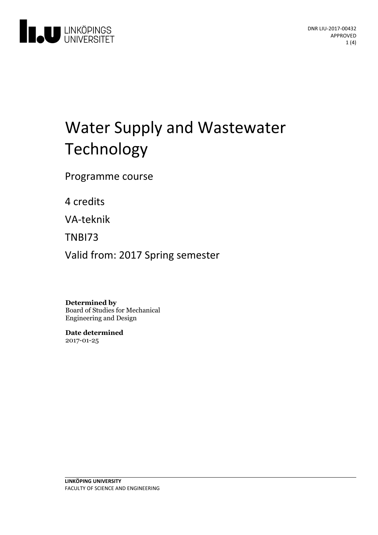

# Water Supply and Wastewater Technology

Programme course

4 credits

VA-teknik

TNBI73

Valid from: 2017 Spring semester

#### **Determined by**

Board of Studies for Mechanical Engineering and Design

**Date determined** 2017-01-25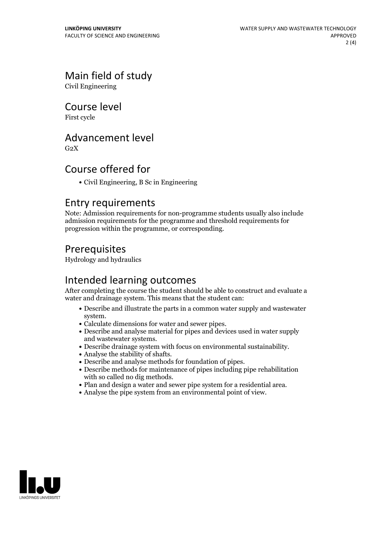## Main field of study

Civil Engineering

## Course level

First cycle

## Advancement level

 $G<sub>2</sub>X$ 

## Course offered for

Civil Engineering, B Sc in Engineering

#### Entry requirements

Note: Admission requirements for non-programme students usually also include admission requirements for the programme and threshold requirements for progression within the programme, or corresponding.

## Prerequisites

Hydrology and hydraulics

## Intended learning outcomes

After completing the course the student should be able to construct and evaluate a water and drainage system. This means that the student can:

- Describe and illustrate the parts in a common water supply and wastewater system.<br>• Calculate dimensions for water and sewer pipes.<br>• Describe and analyse material for pipes and devices used in water supply
- 
- 
- Describe drainage system with focus on environmental sustainability.<br>• Analyse the stability of shafts.<br>• Analyse the stability of shafts.<br>• Describe and analyse methods for foundation of pipes.<br>• Describe methods for ma
- 
- 
- 
- with so called no dig methods.<br>• Plan and design a water and sewer pipe system for a residential area.<br>• Analyse the pipe system from an environmental point of view.
- 

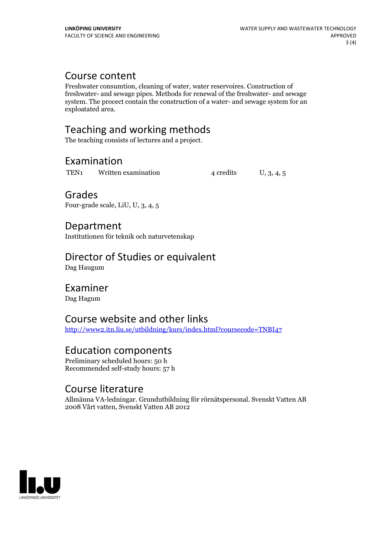## Course content

Freshwater consumtion, cleaning of water, water reservoires. Construction of freshwater- and sewage pipes. Methods for renewal of the freshwater- and sewage system. The procect contain the construction of a water- and sewage system for an exploatated area.

## Teaching and working methods

The teaching consists of lectures and a project.

## Examination

TEN<sub>1</sub> Written examination 4 credits U, 3, 4, 5

## Grades

Four-grade scale, LiU, U, 3, 4, 5

## Department

Institutionen för teknik och naturvetenskap

## Director of Studies or equivalent

Dag Haugum

## Examiner

Dag Hagum

## Course website and other links

<http://www2.itn.liu.se/utbildning/kurs/index.html?coursecode=TNBI47>

## Education components

Preliminary scheduled hours: 50 h Recommended self-study hours: 57 h

## Course literature

Allmänna VA-ledningar. Grundutbildning för rörnätspersonal. Svenskt Vatten AB 2008 Vårt vatten, Svenskt Vatten AB 2012